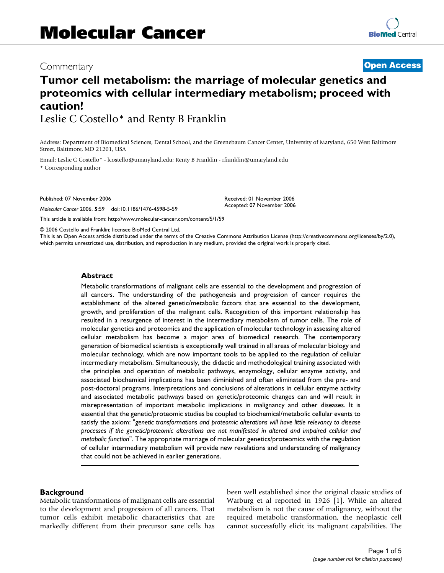## Commentary **[Open Access](http://www.biomedcentral.com/info/about/charter/)**

# **Tumor cell metabolism: the marriage of molecular genetics and proteomics with cellular intermediary metabolism; proceed with caution!**

Leslie C Costello\* and Renty B Franklin

Address: Department of Biomedical Sciences, Dental School, and the Greenebaum Cancer Center, University of Maryland, 650 West Baltimore Street, Baltimore, MD 21201, USA

Email: Leslie C Costello\* - lcostello@umaryland.edu; Renty B Franklin - rfranklin@umaryland.edu

\* Corresponding author

Published: 07 November 2006

*Molecular Cancer* 2006, **5**:59 doi:10.1186/1476-4598-5-59

[This article is available from: http://www.molecular-cancer.com/content/5/1/59](http://www.molecular-cancer.com/content/5/1/59)

© 2006 Costello and Franklin; licensee BioMed Central Ltd.

This is an Open Access article distributed under the terms of the Creative Commons Attribution License [\(http://creativecommons.org/licenses/by/2.0\)](http://creativecommons.org/licenses/by/2.0), which permits unrestricted use, distribution, and reproduction in any medium, provided the original work is properly cited.

Received: 01 November 2006 Accepted: 07 November 2006

### **Abstract**

Metabolic transformations of malignant cells are essential to the development and progression of all cancers. The understanding of the pathogenesis and progression of cancer requires the establishment of the altered genetic/metabolic factors that are essential to the development, growth, and proliferation of the malignant cells. Recognition of this important relationship has resulted in a resurgence of interest in the intermediary metabolism of tumor cells. The role of molecular genetics and proteomics and the application of molecular technology in assessing altered cellular metabolism has become a major area of biomedical research. The contemporary generation of biomedical scientists is exceptionally well trained in all areas of molecular biology and molecular technology, which are now important tools to be applied to the regulation of cellular intermediary metabolism. Simultaneously, the didactic and methodological training associated with the principles and operation of metabolic pathways, enzymology, cellular enzyme activity, and associated biochemical implications has been diminished and often eliminated from the pre- and post-doctoral programs. Interpretations and conclusions of alterations in cellular enzyme activity and associated metabolic pathways based on genetic/proteomic changes can and will result in misrepresentation of important metabolic implications in malignancy and other diseases. It is essential that the genetic/proteomic studies be coupled to biochemical/metabolic cellular events to satisfy the axiom: "*genetic transformations and proteomic alterations will have little relevancy to disease processes if the genetic/proteomic alterations are not manifested in altered and impaired cellular and metabolic function*". The appropriate marriage of molecular genetics/proteomics with the regulation of cellular intermediary metabolism will provide new revelations and understanding of malignancy that could not be achieved in earlier generations.

### **Background**

Metabolic transformations of malignant cells are essential to the development and progression of all cancers. That tumor cells exhibit metabolic characteristics that are markedly different from their precursor sane cells has been well established since the original classic studies of Warburg et al reported in 1926 [1]. While an altered metabolism is not the cause of malignancy, without the required metabolic transformation, the neoplastic cell cannot successfully elicit its malignant capabilities. The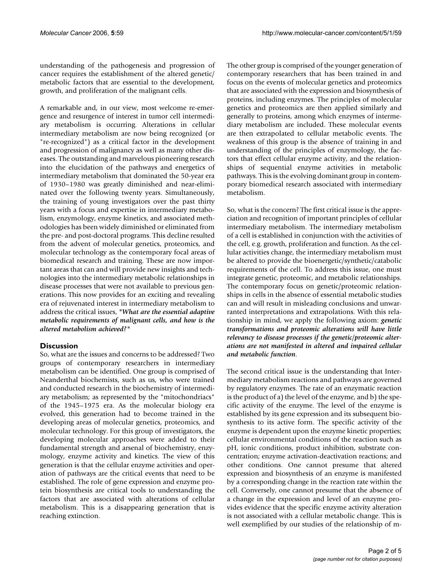understanding of the pathogenesis and progression of cancer requires the establishment of the altered genetic/ metabolic factors that are essential to the development, growth, and proliferation of the malignant cells.

A remarkable and, in our view, most welcome re-emergence and resurgence of interest in tumor cell intermediary metabolism is occurring. Alterations in cellular intermediary metabolism are now being recognized (or "re-recognized") as a critical factor in the development and progression of malignancy as well as many other diseases. The outstanding and marvelous pioneering research into the elucidation of the pathways and energetics of intermediary metabolism that dominated the 50-year era of 1930–1980 was greatly diminished and near-eliminated over the following twenty years. Simultaneously, the training of young investigators over the past thirty years with a focus and expertise in intermediary metabolism, enzymology, enzyme kinetics, and associated methodologies has been widely diminished or eliminated from the pre- and post-doctoral programs. This decline resulted from the advent of molecular genetics, proteomics, and molecular technology as the contemporary focal areas of biomedical research and training. These are now important areas that can and will provide new insights and technologies into the intermediary metabolic relationships in disease processes that were not available to previous generations. This now provides for an exciting and revealing era of rejuvenated interest in intermediary metabolism to address the critical issues, *"What are the essential adaptive metabolic requirements of malignant cells, and how is the altered metabolism achieved?"*

### **Discussion**

So, what are the issues and concerns to be addressed? Two groups of contemporary researchers in intermediary metabolism can be identified. One group is comprised of Neanderthal biochemists, such as us, who were trained and conducted research in the biochemistry of intermediary metabolism; as represented by the "mitochondriacs" of the 1945–1975 era. As the molecular biology era evolved, this generation had to become trained in the developing areas of molecular genetics, proteomics, and molecular technology. For this group of investigators, the developing molecular approaches were added to their fundamental strength and arsenal of biochemistry, enzymology, enzyme activity and kinetics. The view of this generation is that the cellular enzyme activities and operation of pathways are the critical events that need to be established. The role of gene expression and enzyme protein biosynthesis are critical tools to understanding the factors that are associated with alterations of cellular metabolism. This is a disappearing generation that is reaching extinction.

The other group is comprised of the younger generation of contemporary researchers that has been trained in and focus on the events of molecular genetics and proteomics that are associated with the expression and biosynthesis of proteins, including enzymes. The principles of molecular genetics and proteomics are then applied similarly and generally to proteins, among which enzymes of intermediary metabolism are included. These molecular events are then extrapolated to cellular metabolic events. The weakness of this group is the absence of training in and understanding of the principles of enzymology, the factors that effect cellular enzyme activity, and the relationships of sequential enzyme activities in metabolic pathways. This is the evolving dominant group in contemporary biomedical research associated with intermediary metabolism.

So, what is the concern? The first critical issue is the appreciation and recognition of important principles of cellular intermediary metabolism. The intermediary metabolism of a cell is established in conjunction with the activities of the cell, e.g. growth, proliferation and function. As the cellular activities change, the intermediary metabolism must be altered to provide the bioenergetic/synthetic/catabolic requirements of the cell. To address this issue, one must integrate genetic, proteomic, and metabolic relationships. The contemporary focus on genetic/proteomic relationships in cells in the absence of essential metabolic studies can and will result in misleading conclusions and unwarranted interpretations and extrapolations. With this relationship in mind, we apply the following axiom: *genetic transformations and proteomic alterations will have little relevancy to disease processes if the genetic/proteomic alterations are not manifested in altered and impaired cellular and metabolic function*.

The second critical issue is the understanding that Intermediary metabolism reactions and pathways are governed by regulatory enzymes. The rate of an enzymatic reaction is the product of a) the level of the enzyme, and b) the specific activity of the enzyme. The level of the enzyme is established by its gene expression and its subsequent biosynthesis to its active form. The specific activity of the enzyme is dependent upon the enzyme kinetic properties; cellular environmental conditions of the reaction such as pH, ionic conditions, product inhibition, substrate concentration; enzyme activation-deactivation reactions; and other conditions. One cannot presume that altered expression and biosynthesis of an enzyme is manifested by a corresponding change in the reaction rate within the cell. Conversely, one cannot presume that the absence of a change in the expression and level of an enzyme provides evidence that the specific enzyme activity alteration is not associated with a cellular metabolic change. This is well exemplified by our studies of the relationship of m-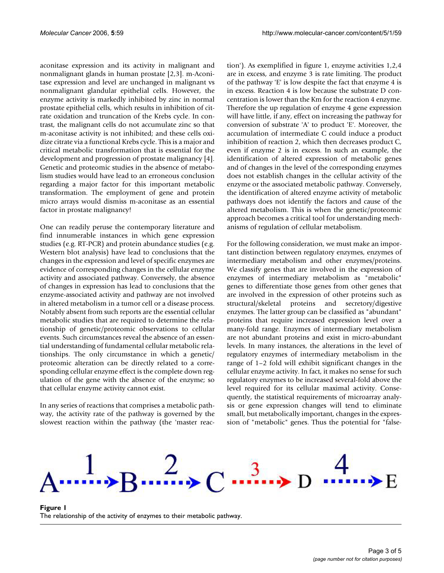aconitase expression and its activity in malignant and nonmalignant glands in human prostate [2,3]. m-Aconitase expression and level are unchanged in malignant vs nonmalignant glandular epithelial cells. However, the enzyme activity is markedly inhibited by zinc in normal prostate epithelial cells, which results in inhibition of citrate oxidation and truncation of the Krebs cycle. In contrast, the malignant cells do not accumulate zinc so that m-aconitase activity is not inhibited; and these cells oxidize citrate via a functional Krebs cycle. This is a major and critical metabolic transformation that is essential for the development and progression of prostate malignancy [4]. Genetic and proteomic studies in the absence of metabolism studies would have lead to an erroneous conclusion regarding a major factor for this important metabolic transformation. The employment of gene and protein micro arrays would dismiss m-aconitase as an essential factor in prostate malignancy!

One can readily peruse the contemporary literature and find innumerable instances in which gene expression studies (e.g. RT-PCR) and protein abundance studies (e.g. Western blot analysis) have lead to conclusions that the changes in the expression and level of specific enzymes are evidence of corresponding changes in the cellular enzyme activity and associated pathway. Conversely, the absence of changes in expression has lead to conclusions that the enzyme-associated activity and pathway are not involved in altered metabolism in a tumor cell or a disease process. Notably absent from such reports are the essential cellular metabolic studies that are required to determine the relationship of genetic/proteomic observations to cellular events. Such circumstances reveal the absence of an essential understanding of fundamental cellular metabolic relationships. The only circumstance in which a genetic/ proteomic alteration can be directly related to a corresponding cellular enzyme effect is the complete down regulation of the gene with the absence of the enzyme; so that cellular enzyme activity cannot exist.

In any series of reactions that comprises a metabolic pathway, the activity rate of the pathway is governed by the slowest reaction within the pathway (the 'master reaction'). As exemplified in figure 1, enzyme activities 1,2,4 are in excess, and enzyme 3 is rate limiting. The product of the pathway 'E' is low despite the fact that enzyme 4 is in excess. Reaction 4 is low because the substrate D concentration is lower than the Km for the reaction 4 enzyme. Therefore the up regulation of enzyme 4 gene expression will have little, if any, effect on increasing the pathway for conversion of substrate 'A' to product 'E'. Moreover, the accumulation of intermediate C could induce a product inhibition of reaction 2, which then decreases product C, even if enzyme 2 is in excess. In such an example, the identification of altered expression of metabolic genes and of changes in the level of the corresponding enzymes does not establish changes in the cellular activity of the enzyme or the associated metabolic pathway. Conversely, the identification of altered enzyme activity of metabolic pathways does not identify the factors and cause of the altered metabolism. This is when the genetic/proteomic approach becomes a critical tool for understanding mechanisms of regulation of cellular metabolism.

For the following consideration, we must make an important distinction between regulatory enzymes, enzymes of intermediary metabolism and other enzymes/proteins. We classify genes that are involved in the expression of enzymes of intermediary metabolism as "metabolic" genes to differentiate those genes from other genes that are involved in the expression of other proteins such as structural/skeletal proteins and secretory/digestive enzymes. The latter group can be classified as "abundant" proteins that require increased expression level over a many-fold range. Enzymes of intermediary metabolism are not abundant proteins and exist in micro-abundant levels. In many instances, the alterations in the level of regulatory enzymes of intermediary metabolism in the range of 1–2 fold will exhibit significant changes in the cellular enzyme activity. In fact, it makes no sense for such regulatory enzymes to be increased several-fold above the level required for its cellular maximal activity. Consequently, the statistical requirements of microarray analysis or gene expression changes will tend to eliminate small, but metabolically important, changes in the expression of "metabolic" genes. Thus the potential for "false-



Figure 1 The relationship of the activity of enzymes to their metabolic pathway.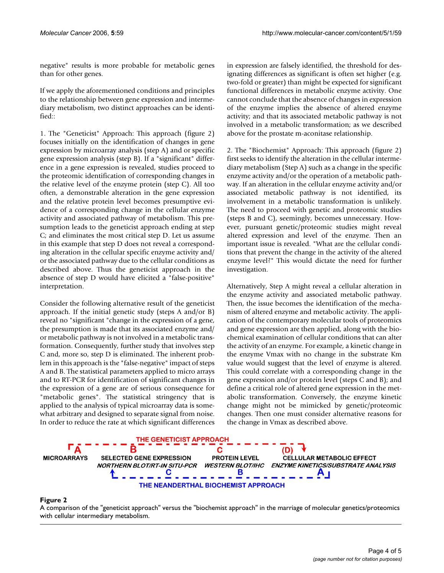negative" results is more probable for metabolic genes than for other genes.

If we apply the aforementioned conditions and principles to the relationship between gene expression and intermediary metabolism, two distinct approaches can be identified::

1. The "Geneticist" Approach: This approach (figure 2) focuses initially on the identification of changes in gene expression by microarray analysis (step A) and or specific gene expression analysis (step B). If a "significant" difference in a gene expression is revealed, studies proceed to the proteomic identification of corresponding changes in the relative level of the enzyme protein (step C). All too often, a demonstrable alteration in the gene expression and the relative protein level becomes presumptive evidence of a corresponding change in the cellular enzyme activity and associated pathway of metabolism. This presumption leads to the geneticist approach ending at step C; and eliminates the most critical step D. Let us assume in this example that step D does not reveal a corresponding alteration in the cellular specific enzyme activity and/ or the associated pathway due to the cellular conditions as described above. Thus the geneticist approach in the absence of step D would have elicited a "false-positive" interpretation.

Consider the following alternative result of the geneticist approach. If the initial genetic study (steps A and/or B) reveal no "significant "change in the expression of a gene, the presumption is made that its associated enzyme and/ or metabolic pathway is not involved in a metabolic transformation. Consequently, further study that involves step C and, more so, step D is eliminated. The inherent problem in this approach is the "false-negative" impact of steps A and B. The statistical parameters applied to micro arrays and to RT-PCR for identification of significant changes in the expression of a gene are of serious consequence for "metabolic genes". The statistical stringency that is applied to the analysis of typical microarray data is somewhat arbitrary and designed to separate signal from noise. In order to reduce the rate at which significant differences in expression are falsely identified, the threshold for designating differences as significant is often set higher (e.g. two-fold or greater) than might be expected for significant functional differences in metabolic enzyme activity. One cannot conclude that the absence of changes in expression of the enzyme implies the absence of altered enzyme activity; and that its associated metabolic pathway is not involved in a metabolic transformation; as we described above for the prostate m-aconitase relationship.

2. The "Biochemist" Approach: This approach (figure 2) first seeks to identify the alteration in the cellular intermediary metabolism (Step A) such as a change in the specific enzyme activity and/or the operation of a metabolic pathway. If an alteration in the cellular enzyme activity and/or associated metabolic pathway is not identified, its involvement in a metabolic transformation is unlikely. The need to proceed with genetic and proteomic studies (steps B and C), seemingly, becomes unnecessary. However, pursuant genetic/proteomic studies might reveal altered expression and level of the enzyme. Then an important issue is revealed. "What are the cellular conditions that prevent the change in the activity of the altered enzyme level?" This would dictate the need for further investigation.

Alternatively, Step A might reveal a cellular alteration in the enzyme activity and associated metabolic pathway. Then, the issue becomes the identification of the mechanism of altered enzyme and metabolic activity. The application of the contemporary molecular tools of proteomics and gene expression are then applied, along with the biochemical examination of cellular conditions that can alter the activity of an enzyme. For example, a kinetic change in the enzyme Vmax with no change in the substrate Km value would suggest that the level of enzyme is altered. This could correlate with a corresponding change in the gene expression and/or protein level (steps C and B); and define a critical role of altered gene expression in the metabolic transformation. Conversely, the enzyme kinetic change might not be mimicked by genetic/proteomic changes. Then one must consider alternative reasons for the change in Vmax as described above.



A comparison of the "geneticist approach" with cellular intermediary metabolism **Figure 2** versus the "biochemist approach" in the marriage of molecular genetics/proteomics A comparison of the "geneticist approach" versus the "biochemist approach" in the marriage of molecular genetics/proteomics with cellular intermediary metabolism.